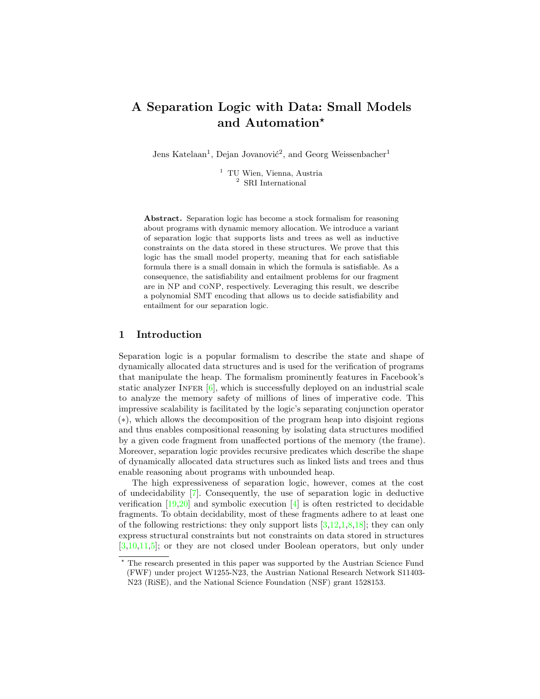## A Separation Logic with Data: Small Models and Automation?

Jens Katelaan<sup>1</sup>, Dejan Jovanović<sup>2</sup>, and Georg Weissenbacher<sup>1</sup>

<sup>1</sup> TU Wien, Vienna, Austria <sup>2</sup> SRI International

Abstract. Separation logic has become a stock formalism for reasoning about programs with dynamic memory allocation. We introduce a variant of separation logic that supports lists and trees as well as inductive constraints on the data stored in these structures. We prove that this logic has the small model property, meaning that for each satisfiable formula there is a small domain in which the formula is satisfiable. As a consequence, the satisfiability and entailment problems for our fragment are in NP and coNP, respectively. Leveraging this result, we describe a polynomial SMT encoding that allows us to decide satisfiability and entailment for our separation logic.

#### 1 Introduction

Separation logic is a popular formalism to describe the state and shape of dynamically allocated data structures and is used for the verification of programs that manipulate the heap. The formalism prominently features in Facebook's static analyzer INFER  $[6]$ , which is successfully deployed on an industrial scale to analyze the memory safety of millions of lines of imperative code. This impressive scalability is facilitated by the logic's separating conjunction operator (∗), which allows the decomposition of the program heap into disjoint regions and thus enables compositional reasoning by isolating data structures modified by a given code fragment from unaffected portions of the memory (the frame). Moreover, separation logic provides recursive predicates which describe the shape of dynamically allocated data structures such as linked lists and trees and thus enable reasoning about programs with unbounded heap.

The high expressiveness of separation logic, however, comes at the cost of undecidability [\[7\]](#page-15-1). Consequently, the use of separation logic in deductive verification  $[19,20]$  $[19,20]$  and symbolic execution  $[4]$  is often restricted to decidable fragments. To obtain decidability, most of these fragments adhere to at least one of the following restrictions: they only support lists  $[3,12,1,8,18]$  $[3,12,1,8,18]$  $[3,12,1,8,18]$  $[3,12,1,8,18]$  $[3,12,1,8,18]$ ; they can only express structural constraints but not constraints on data stored in structures [\[3,](#page-15-5)[10](#page-15-10)[,11](#page-15-11)[,5\]](#page-15-12); or they are not closed under Boolean operators, but only under

<sup>?</sup> The research presented in this paper was supported by the Austrian Science Fund (FWF) under project W1255-N23, the Austrian National Research Network S11403- N23 (RiSE), and the National Science Foundation (NSF) grant 1528153.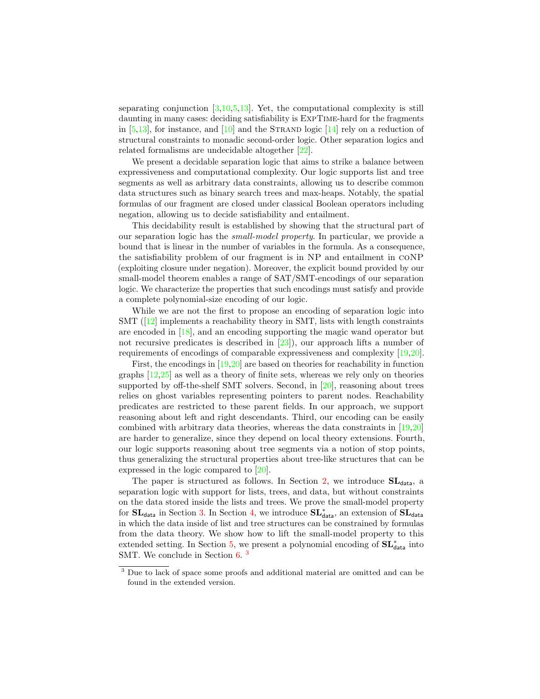separating conjunction  $[3,10,5,13]$  $[3,10,5,13]$  $[3,10,5,13]$  $[3,10,5,13]$ . Yet, the computational complexity is still daunting in many cases: deciding satisfiability is ExpTime-hard for the fragments in  $[5,13]$  $[5,13]$ , for instance, and  $[10]$  and the STRAND logic  $[14]$  rely on a reduction of structural constraints to monadic second-order logic. Other separation logics and related formalisms are undecidable altogether [\[22\]](#page-15-15).

We present a decidable separation logic that aims to strike a balance between expressiveness and computational complexity. Our logic supports list and tree segments as well as arbitrary data constraints, allowing us to describe common data structures such as binary search trees and max-heaps. Notably, the spatial formulas of our fragment are closed under classical Boolean operators including negation, allowing us to decide satisfiability and entailment.

This decidability result is established by showing that the structural part of our separation logic has the small-model property. In particular, we provide a bound that is linear in the number of variables in the formula. As a consequence, the satisfiability problem of our fragment is in NP and entailment in coNP (exploiting closure under negation). Moreover, the explicit bound provided by our small-model theorem enables a range of SAT/SMT-encodings of our separation logic. We characterize the properties that such encodings must satisfy and provide a complete polynomial-size encoding of our logic.

While we are not the first to propose an encoding of separation logic into SMT  $(12)$  implements a reachability theory in SMT, lists with length constraints are encoded in  $[18]$ , and an encoding supporting the magic wand operator but not recursive predicates is described in [\[23\]](#page-15-16)), our approach lifts a number of requirements of encodings of comparable expressiveness and complexity [\[19,](#page-15-2)[20\]](#page-15-3).

First, the encodings in [\[19](#page-15-2)[,20\]](#page-15-3) are based on theories for reachability in function graphs [\[12](#page-15-6)[,25\]](#page-15-17) as well as a theory of finite sets, whereas we rely only on theories supported by off-the-shelf SMT solvers. Second, in [\[20\]](#page-15-3), reasoning about trees relies on ghost variables representing pointers to parent nodes. Reachability predicates are restricted to these parent fields. In our approach, we support reasoning about left and right descendants. Third, our encoding can be easily combined with arbitrary data theories, whereas the data constraints in [\[19,](#page-15-2)[20\]](#page-15-3) are harder to generalize, since they depend on local theory extensions. Fourth, our logic supports reasoning about tree segments via a notion of stop points, thus generalizing the structural properties about tree-like structures that can be expressed in the logic compared to [\[20\]](#page-15-3).

The paper is structured as follows. In Section [2,](#page-2-0) we introduce  $SL<sub>data</sub>$ , a separation logic with support for lists, trees, and data, but without constraints on the data stored inside the lists and trees. We prove the small-model property for  $SL_{data}$  in Section [3.](#page-5-0) In Section [4,](#page-8-0) we introduce  $SL_{data}^*$ , an extension of  $SL_{data}$ in which the data inside of list and tree structures can be constrained by formulas from the data theory. We show how to lift the small-model property to this extended setting. In Section [5,](#page-10-0) we present a polynomial encoding of  $\mathbf{SL}^*_{data}$  into SMT. We conclude in Section [6.](#page-14-0)<sup>[3](#page-1-0)</sup>

<span id="page-1-0"></span><sup>&</sup>lt;sup>3</sup> Due to lack of space some proofs and additional material are omitted and can be found in the extended version.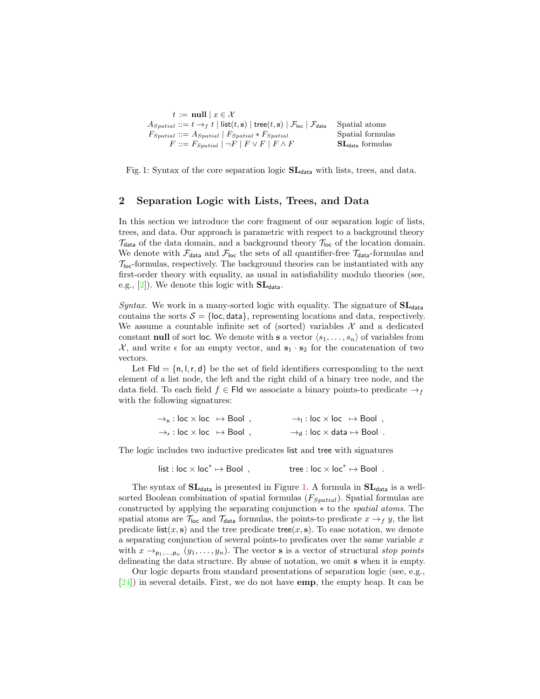<span id="page-2-1"></span>

| $t := \text{null} \mid x \in \mathcal{X}$                                                                                                                        |                      |
|------------------------------------------------------------------------------------------------------------------------------------------------------------------|----------------------|
| $A_{Spatial} ::= t \rightarrow_f t \mid \text{list}(t, \mathbf{s}) \mid \text{tree}(t, \mathbf{s}) \mid \mathcal{F}_{\text{loc}} \mid \mathcal{F}_{\text{data}}$ | Spatial atoms        |
| $F_{Spatial} ::= A_{Spatial}   F_{Spatial} * F_{Spatial}$                                                                                                        | Spatial formulas     |
| $F ::= F_{Spatial}   \neg F   F \vee F   F \wedge F$                                                                                                             | $SL_{data}$ formulas |

Fig. 1: Syntax of the core separation logic  $SL_{data}$  with lists, trees, and data.

#### <span id="page-2-0"></span>2 Separation Logic with Lists, Trees, and Data

In this section we introduce the core fragment of our separation logic of lists, trees, and data. Our approach is parametric with respect to a background theory  $\mathcal{T}_{data}$  of the data domain, and a background theory  $\mathcal{T}_{loc}$  of the location domain. We denote with  $\mathcal{F}_{data}$  and  $\mathcal{F}_{loc}$  the sets of all quantifier-free  $\mathcal{T}_{data}$ -formulas and  $\mathcal{T}_{\text{loc}}$ -formulas, respectively. The background theories can be instantiated with any first-order theory with equality, as usual in satisfiability modulo theories (see, e.g.,  $[2]$ ). We denote this logic with  $SL<sub>data</sub>$ .

*Syntax*. We work in a many-sorted logic with equality. The signature of  $SL<sub>data</sub>$ contains the sorts  $S = \{loc, data\}$ , representing locations and data, respectively. We assume a countable infinite set of (sorted) variables  $\mathcal X$  and a dedicated constant null of sort loc. We denote with s a vector  $\langle s_1, \ldots, s_n \rangle$  of variables from  $\mathcal{X}$ , and write  $\epsilon$  for an empty vector, and  $s_1 \cdot s_2$  for the concatenation of two vectors.

Let  $FId = \{n, l, r, d\}$  be the set of field identifiers corresponding to the next element of a list node, the left and the right child of a binary tree node, and the data field. To each field  $f \in \text{Fld}$  we associate a binary points-to predicate  $\rightarrow_f$ with the following signatures:

| $\rightarrow_n : \text{loc} \times \text{loc} \rightarrow \text{Bool}$ , | $\rightarrow_1 : \text{loc} \times \text{loc} \rightarrow \text{Bool}$ , |  |
|--------------------------------------------------------------------------|--------------------------------------------------------------------------|--|
| $\rightarrow_r : \text{loc} \times \text{loc} \rightarrow \text{Bool}$ , | $\rightarrow_d$ : loc $\times$ data $\mapsto$ Bool.                      |  |

The logic includes two inductive predicates list and tree with signatures

list : loc  $\times$  loc<sup>\*</sup>  $\mapsto$  Bool,  $\mapsto$  Bool, tree : loc  $\times$  loc $^* \mapsto$  Bool.

The syntax of  $SL_{data}$  is presented in Figure [1.](#page-2-1) A formula in  $SL_{data}$  is a wellsorted Boolean combination of spatial formulas  $(F_{Spatial})$ . Spatial formulas are constructed by applying the separating conjunction ∗ to the spatial atoms. The spatial atoms are  $\mathcal{T}_{loc}$  and  $\mathcal{T}_{data}$  formulas, the points-to predicate  $x \rightarrow_f y$ , the list predicate list(x, s) and the tree predicate tree(x, s). To ease notation, we denote a separating conjunction of several points-to predicates over the same variable  $x$ with  $x \rightarrow_{\mathsf{p}_1,\dots,\mathsf{p}_n} (y_1,\dots,y_n)$ . The vector **s** is a vector of structural stop points delineating the data structure. By abuse of notation, we omit s when it is empty.

Our logic departs from standard presentations of separation logic (see, e.g., [\[24\]](#page-15-19)) in several details. First, we do not have emp, the empty heap. It can be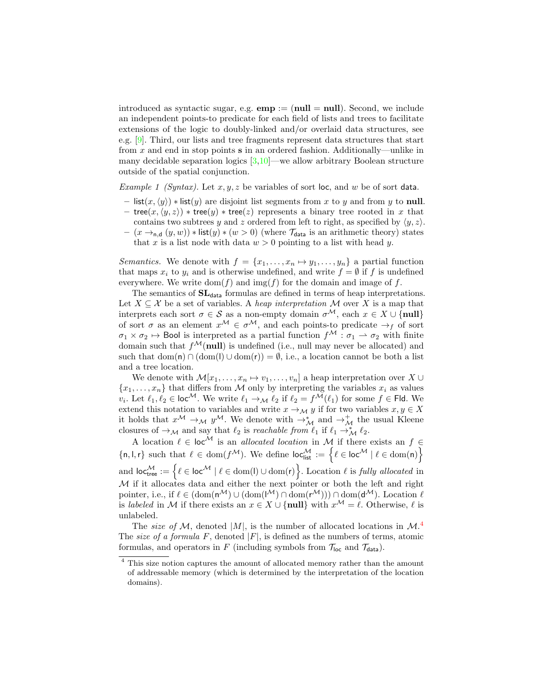introduced as syntactic sugar, e.g.  $emp := (null = null)$ . Second, we include an independent points-to predicate for each field of lists and trees to facilitate extensions of the logic to doubly-linked and/or overlaid data structures, see e.g. [\[9\]](#page-15-20). Third, our lists and tree fragments represent data structures that start from  $x$  and end in stop points  $s$  in an ordered fashion. Additionally—unlike in many decidable separation logics  $[3,10]$  $[3,10]$ —we allow arbitrary Boolean structure outside of the spatial conjunction.

*Example 1 (Syntax)*. Let  $x, y, z$  be variables of sort loc, and w be of sort data.

- list(x,  $\langle y \rangle$ ) \* list(y) are disjoint list segments from x to y and from y to null.
- tree $(x, \langle y, z \rangle)$  ∗ tree $(y)$  ∗ tree $(z)$  represents a binary tree rooted in x that contains two subtrees y and z ordered from left to right, as specified by  $\langle y, z \rangle$ .
- $(x \rightarrow_{n,d} (y,w)) * \text{list}(y) * (w > 0)$  (where  $\mathcal{T}_{data}$  is an arithmetic theory) states that x is a list node with data  $w > 0$  pointing to a list with head y.

*Semantics.* We denote with  $f = \{x_1, \ldots, x_n \mapsto y_1, \ldots, y_n\}$  a partial function that maps  $x_i$  to  $y_i$  and is otherwise undefined, and write  $f = \emptyset$  if f is undefined everywhere. We write  $dom(f)$  and  $img(f)$  for the domain and image of f.

The semantics of  $SL<sub>data</sub>$  formulas are defined in terms of heap interpretations. Let  $X \subseteq \mathcal{X}$  be a set of variables. A heap interpretation M over X is a map that interprets each sort  $\sigma \in \mathcal{S}$  as a non-empty domain  $\sigma^{\mathcal{M}}$ , each  $x \in X \cup \{\text{null}\}\$ of sort  $\sigma$  as an element  $x^{\mathcal{M}} \in \sigma^{\mathcal{M}}$ , and each points-to predicate  $\rightarrow_f$  of sort  $\sigma_1 \times \sigma_2 \mapsto$  Bool is interpreted as a partial function  $f^{\mathcal{M}} : \sigma_1 \to \sigma_2$  with finite domain such that  $f^{\mathcal{M}}(\textbf{null})$  is undefined (i.e., null may never be allocated) and such that  $dom(n) \cap (dom(l) \cup dom(r)) = \emptyset$ , i.e., a location cannot be both a list and a tree location.

We denote with  $\mathcal{M}[x_1, \ldots, x_n \mapsto v_1, \ldots, v_n]$  a heap interpretation over  $X \cup$  ${x_1, \ldots, x_n}$  that differs from M only by interpreting the variables  $x_i$  as values  $v_i$ . Let  $\ell_1, \ell_2 \in \text{loc}^{\mathcal{M}}$ . We write  $\ell_1 \to_{\mathcal{M}} \ell_2$  if  $\ell_2 = f^{\mathcal{M}}(\ell_1)$  for some  $f \in \text{Fld}$ . We extend this notation to variables and write  $x \to_M y$  if for two variables  $x, y \in X$ it holds that  $x^{\mathcal{M}} \to_{\mathcal{M}} y^{\mathcal{M}}$ . We denote with  $\to_{\mathcal{M}}^*$  and  $\to_{\mathcal{M}}^+$  the usual Kleene closures of  $\rightarrow_M$  and say that  $\ell_2$  is *reachable from*  $\ell_1$  if  $\ell_1 \rightarrow^*_{M} \ell_2$ .

A location  $\ell \in \text{loc}^{\mathcal{M}}$  is an *allocated location* in M if there exists an  $f \in$  $\{\mathsf{n},\mathsf{l},\mathsf{r}\}\n\text{ such that } \ell \in \text{dom}(f^{\mathcal{M}}).$  We define  $\text{loc}^{\mathcal{M}}_{\text{list}} := \{ \ell \in \text{loc}^{\mathcal{M}} \mid \ell \in \text{dom}(\mathsf{n}) \}$ and  $\text{loc}^{\mathcal{M}}_{\text{tree}} := \Big\{ \ell \in \text{loc}^{\mathcal{M}} \mid \ell \in \text{dom}(\mathsf{I}) \cup \text{dom}(\mathsf{r}) \Big\}.$  Location  $\ell$  is fully allocated in  $M$  if it allocates data and either the next pointer or both the left and right pointer, i.e., if  $\ell \in (\text{dom}(\mathsf{n}^{\mathcal{M}}) \cup (\text{dom}(\mathsf{l}^{\mathcal{M}}) \cap \text{dom}(\mathsf{r}^{\mathcal{M}}))) \cap \text{dom}(\mathsf{d}^{\mathcal{M}})$ . Location  $\ell$ is labeled in M if there exists an  $x \in X \cup \{\text{null}\}\$  with  $x^{\mathcal{M}} = \ell$ . Otherwise,  $\ell$  is unlabeled.

The size of M, denoted  $|M|$ , is the number of allocated locations in  $\mathcal{M}$ .<sup>[4](#page-3-0)</sup> The size of a formula F, denoted  $|F|$ , is defined as the numbers of terms, atomic formulas, and operators in F (including symbols from  $\mathcal{T}_{\text{loc}}$  and  $\mathcal{T}_{\text{data}}$ ).

<span id="page-3-0"></span><sup>4</sup> This size notion captures the amount of allocated memory rather than the amount of addressable memory (which is determined by the interpretation of the location domains).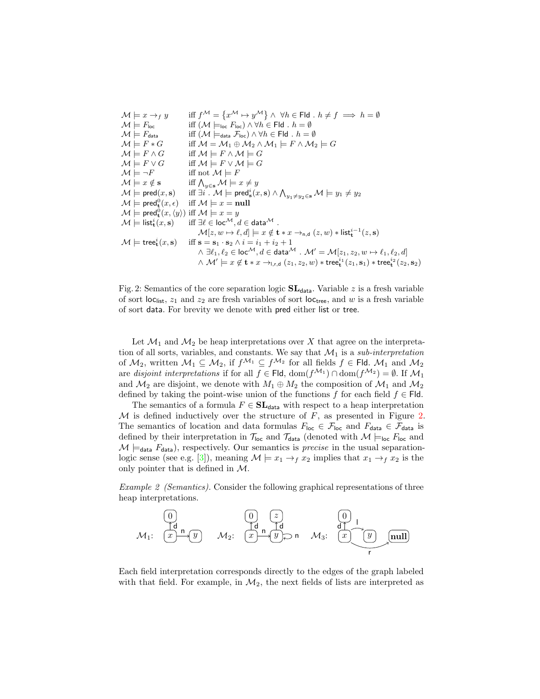<span id="page-4-0"></span>
$$
\begin{array}{lllllllllllllll} &\mathcal{M}\models x\rightarrow_f y & \text{iff } \mathcal{M}=\{x^{\mathcal{M}}\mapsto y^{\mathcal{M}}\}\wedge \ \forall h\in \mathsf{Fld}\ .\ h\neq f\implies h=\emptyset \\ &\mathcal{M}\models F_{\mathsf{loc}} & \text{iff } (\mathcal{M}\models_{\mathsf{loc}}\Gamma) \wedge \forall h\in \mathsf{Fld}\ .\ h=\emptyset \\ &\mathcal{M}\models F_{\mathsf{data}} & \text{iff } (\mathcal{M}\models_{\mathsf{data}}\mathcal{F}_{\mathsf{loc}})\wedge \forall h\in \mathsf{Fld}\ .\ h=\emptyset \\ &\mathcal{M}\models F\ast G & \text{iff } \mathcal{M}=\mathcal{M}_1\oplus \mathcal{M}_2\wedge \mathcal{M}_1\models F\wedge \mathcal{M}_2\models G \\ &\mathcal{M}\models F\vee G & \text{iff } \mathcal{M}\models F\vee M\models G \\ &\mathcal{M}\models F\vee G & \text{iff } \mathcal{M}\models F\vee M\models G \\ &\mathcal{M}\models\neg F & \text{iff not }\mathcal{M}\models F \\ &\mathcal{M}\models x\notin \mathsf{s} & \text{iff }\mathcal{M}_{yz\in \mathsf{s}}\mathcal{M}\models x\neq y \\ &\mathcal{M}\models \mathsf{pred}_u^0(x,\mathsf{s}) & \text{iff }\mathcal{M}\models x=\mathsf{null} \\ &\mathcal{M}\models \mathsf{pred}_u^0(x,\mathsf{c}) & \text{iff }\mathcal{M}\models x=\mathsf{null} \\ &\mathcal{M}\models \mathsf{pred}_u^0(x,\mathsf{c})) & \text{iff }\mathcal{M}\models x=\mathsf{y} \\ &\mathcal{M}\models \mathsf{list}_u^i(x,\mathsf{s}) & \text{iff }\mathbb{I}\exists \ell\in \mathsf{loc}^\mathcal{M}, d\in \mathsf{data}^\mathcal{M} \\ &\mathcal{M}[z,w\mapsto \ell,d]\models x\notin \mathsf{t}\ast x\rightarrow_{\mathsf{n,d}}(z,w)\ast \mathsf{list}_\mathsf{t}^{i-1}(z,\mathsf{s}) \\ &\mathcal{M}\models \mathsf{tree}_\mathsf{t}^i(x,\mathsf{s}) & \text{iff }\mathsf{s}\equiv \mathsf{s}_1\cdot \mathsf{s}_2\wedge i=i_1+i_2
$$

Fig. 2: Semantics of the core separation logic  $SL<sub>data</sub>$ . Variable z is a fresh variable of sort loc<sub>list</sub>,  $z_1$  and  $z_2$  are fresh variables of sort loc<sub>tree</sub>, and w is a fresh variable of sort data. For brevity we denote with pred either list or tree.

Let  $\mathcal{M}_1$  and  $\mathcal{M}_2$  be heap interpretations over X that agree on the interpretation of all sorts, variables, and constants. We say that  $\mathcal{M}_1$  is a sub-interpretation of  $M_2$ , written  $M_1 \subseteq M_2$ , if  $f^{\mathcal{M}_1} \subseteq f^{\mathcal{M}_2}$  for all fields  $f \in \mathsf{Fld}$ .  $\mathcal{M}_1$  and  $\mathcal{M}_2$ are disjoint interpretations if for all  $f \in \text{Fld}$ ,  $\text{dom}(f^{\mathcal{M}_1}) \cap \text{dom}(f^{\mathcal{M}_2}) = \emptyset$ . If  $\mathcal{M}_1$ and  $\mathcal{M}_2$  are disjoint, we denote with  $M_1 \oplus M_2$  the composition of  $\mathcal{M}_1$  and  $\mathcal{M}_2$ defined by taking the point-wise union of the functions f for each field  $f \in \text{Fld}$ .

The semantics of a formula  $F \in SL_{data}$  with respect to a heap interpretation  $M$  is defined inductively over the structure of  $F$ , as presented in Figure [2.](#page-4-0) The semantics of location and data formulas  $F_{\text{loc}} \in \mathcal{F}_{\text{loc}}$  and  $F_{\text{data}} \in \mathcal{F}_{\text{data}}$  is defined by their interpretation in  $\mathcal{T}_{\text{loc}}$  and  $\mathcal{T}_{\text{data}}$  (denoted with  $\mathcal{M} \models_{\text{loc}} F_{\text{loc}}$  and  $M \models_{data} F_{data}$ , respectively. Our semantics is *precise* in the usual separation-logic sense (see e.g. [\[3\]](#page-15-5)), meaning  $\mathcal{M} \models x_1 \rightarrow_f x_2$  implies that  $x_1 \rightarrow_f x_2$  is the only pointer that is defined in  $\mathcal{M}$ .

Example 2 (Semantics). Consider the following graphical representations of three heap interpretations.

$$
\begin{array}{ccc}\n\begin{array}{ccc}\n\begin{array}{ccc}\n\begin{array}{ccc}\n\begin{array}{ccc}\n\end{array} & \begin{array}{ccc}\n\end{array} & \begin{array}{ccc}\n\end{array} & \begin{array}{ccc}\n\end{array} & \begin{array}{ccc}\n\end{array} & \begin{array}{ccc}\n\end{array} & \begin{array}{ccc}\n\end{array} & \begin{array}{ccc}\n\end{array} & \begin{array}{ccc}\n\end{array} & \begin{array}{ccc}\n\end{array} & \begin{array}{ccc}\n\end{array} & \begin{array}{ccc}\n\end{array} & \begin{array}{ccc}\n\end{array} & \begin{array}{ccc}\n\end{array} & \begin{array}{ccc}\n\end{array} & \begin{array}{ccc}\n\end{array} & \begin{array}{ccc}\n\end{array} & \begin{array}{ccc}\n\end{array} & \begin{array}{ccc}\n\end{array} & \begin{array}{ccc}\n\end{array} & \begin{array}{ccc}\n\end{array} & \begin{array}{ccc}\n\end{array} & \begin{array}{ccc}\n\end{array} & \begin{array}{ccc}\n\end{array} & \begin{array}{ccc}\n\end{array} & \begin{array}{ccc}\n\end{array} & \begin{array}{ccc}\n\end{array} & \begin{array}{ccc}\n\end{array} & \begin{array}{ccc}\n\end{array} & \begin{array}{ccc}\n\end{array} & \begin{array}{ccc}\n\end{array} & \begin{array}{ccc}\n\end{array} & \begin{array}{ccc}\n\end{array} & \begin{array}{ccc}\n\end{array} & \begin{array}{ccc}\n\end{array} & \begin{array}{ccc}\n\end{array} & \begin{array}{ccc}\n\end{array} & \begin{array}{ccc}\n\end{array} & \begin{array}{ccc}\n\end{array} & \begin{array}{ccc}\n\end{array} & \begin{array}{ccc}\n\end{array} & \begin{array}{ccc}\n\end{array} & \begin{array}{ccc}\n\end{array} & \begin{array}{ccc}\n\end{array} & \begin{array}{ccc}\n\end{array} & \begin{array}{ccc}\n\end{array} & \begin{array}{ccc}\n\end{array} & \begin{array}{ccc}\n\end{array} & \begin{array}{ccc}\n\end{array} & \begin{array}{ccc}\n\end{array} & \begin{array}{ccc}\n\end{array} & \begin{array}{ccc}\n\end{array} &
$$

Each field interpretation corresponds directly to the edges of the graph labeled with that field. For example, in  $\mathcal{M}_2$ , the next fields of lists are interpreted as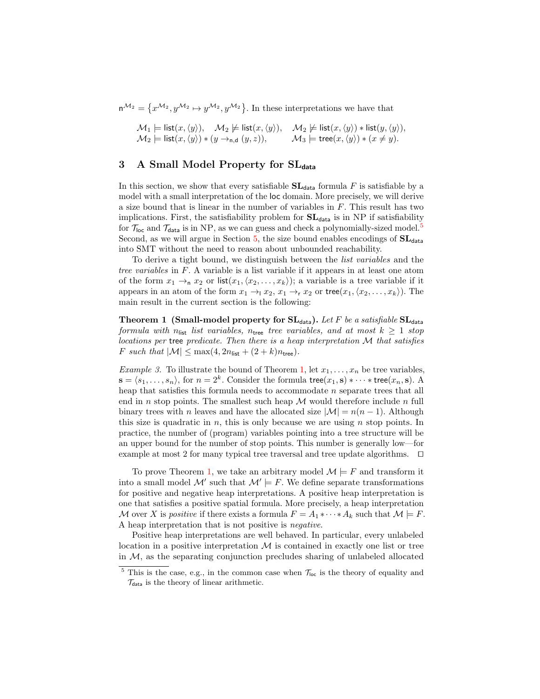$\mathsf{n}^{\mathcal{M}_2} = \{x^{\mathcal{M}_2}, y^{\mathcal{M}_2} \mapsto y^{\mathcal{M}_2}, y^{\mathcal{M}_2}\}\.$  In these interpretations we have that

$$
\mathcal{M}_1 \models \text{list}(x, \langle y \rangle), \quad \mathcal{M}_2 \not\models \text{list}(x, \langle y \rangle), \quad \mathcal{M}_2 \not\models \text{list}(x, \langle y \rangle) * \text{list}(y, \langle y \rangle), \mathcal{M}_2 \models \text{list}(x, \langle y \rangle) * (y \rightarrow_{n,d} (y, z)), \quad \mathcal{M}_3 \models \text{tree}(x, \langle y \rangle) * (x \neq y).
$$

### <span id="page-5-0"></span>3 A Small Model Property for SL<sub>data</sub>

In this section, we show that every satisfiable  $SL_{data}$  formula F is satisfiable by a model with a small interpretation of the loc domain. More precisely, we will derive a size bound that is linear in the number of variables in  $F$ . This result has two implications. First, the satisfiability problem for  $SL_{data}$  is in NP if satisfiability for  $\mathcal{T}_{\text{loc}}$  and  $\mathcal{T}_{\text{data}}$  is in NP, as we can guess and check a polynomially-sized model.<sup>[5](#page-5-1)</sup> Second, as we will argue in Section [5,](#page-10-0) the size bound enables encodings of  $SL<sub>data</sub>$ into SMT without the need to reason about unbounded reachability.

To derive a tight bound, we distinguish between the list variables and the tree variables in F. A variable is a list variable if it appears in at least one atom of the form  $x_1 \rightarrow_n x_2$  or list $(x_1,\langle x_2,\ldots,x_k\rangle)$ ; a variable is a tree variable if it appears in an atom of the form  $x_1 \rightarrow x_2, x_1 \rightarrow r_2$  or tree $(x_1, \langle x_2, \ldots, x_k \rangle)$ . The main result in the current section is the following:

<span id="page-5-2"></span>Theorem 1 (Small-model property for  $SL_{data}$ ). Let F be a satisfiable  $SL_{data}$ formula with  $n_{\text{list}}$  list variables,  $n_{\text{tree}}$  tree variables, and at most  $k \geq 1$  stop locations per tree predicate. Then there is a heap interpretation M that satisfies F such that  $|\mathcal{M}| \leq \max(4, 2n_{\text{list}} + (2 + k)n_{\text{tree}})$ .

*Example 3.* To illustrate the bound of Theorem [1,](#page-5-2) let  $x_1, \ldots, x_n$  be tree variables,  $\mathbf{s} = \langle s_1, \ldots, s_n \rangle$ , for  $n = 2^k$ . Consider the formula tree $(x_1, \mathbf{s}) * \cdots * \text{tree}(x_n, \mathbf{s})$ . A heap that satisfies this formula needs to accommodate n separate trees that all end in n stop points. The smallest such heap  $\mathcal M$  would therefore include n full binary trees with n leaves and have the allocated size  $|\mathcal{M}| = n(n-1)$ . Although this size is quadratic in  $n$ , this is only because we are using  $n$  stop points. In practice, the number of (program) variables pointing into a tree structure will be an upper bound for the number of stop points. This number is generally low—for example at most 2 for many typical tree traversal and tree update algorithms.  $\square$ 

To prove Theorem [1,](#page-5-2) we take an arbitrary model  $\mathcal{M} \models F$  and transform it into a small model M' such that  $\mathcal{M}' \models F$ . We define separate transformations for positive and negative heap interpretations. A positive heap interpretation is one that satisfies a positive spatial formula. More precisely, a heap interpretation M over X is positive if there exists a formula  $F = A_1 * \cdots * A_k$  such that  $\mathcal{M} \models F$ . A heap interpretation that is not positive is negative.

Positive heap interpretations are well behaved. In particular, every unlabeled location in a positive interpretation  $\mathcal M$  is contained in exactly one list or tree in  $M$ , as the separating conjunction precludes sharing of unlabeled allocated

<span id="page-5-1"></span><sup>&</sup>lt;sup>5</sup> This is the case, e.g., in the common case when  $\mathcal{T}_{loc}$  is the theory of equality and  $\mathcal{T}_{data}$  is the theory of linear arithmetic.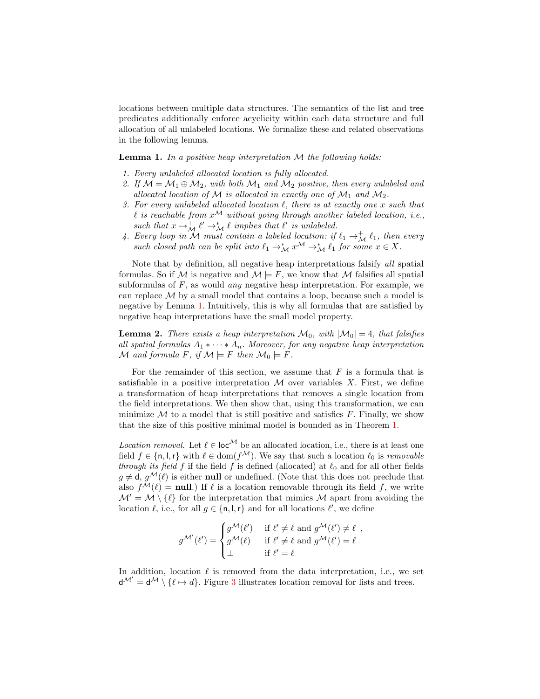locations between multiple data structures. The semantics of the list and tree predicates additionally enforce acyclicity within each data structure and full allocation of all unlabeled locations. We formalize these and related observations in the following lemma.

<span id="page-6-0"></span>**Lemma 1.** In a positive heap interpretation  $\mathcal M$  the following holds:

- 1. Every unlabeled allocated location is fully allocated.
- 2. If  $M = M_1 \oplus M_2$ , with both  $M_1$  and  $M_2$  positive, then every unlabeled and allocated location of M is allocated in exactly one of  $\mathcal{M}_1$  and  $\mathcal{M}_2$ .
- 3. For every unlabeled allocated location  $\ell$ , there is at exactly one x such that  $\ell$  is reachable from  $x^{\mathcal{M}}$  without going through another labeled location, i.e., such that  $x \to_M^+ \ell' \to_M^* \ell$  implies that  $\ell'$  is unlabeled.
- 4. Every loop in M must contain a labeled location: if  $\ell_1 \rightarrow_M^+ \ell_1$ , then every such closed path can be split into  $\ell_1 \to^*_{\mathcal{M}} x^{\mathcal{M}} \to^*_{\mathcal{M}} \ell_1$  for some  $x \in X$ .

Note that by definition, all negative heap interpretations falsify all spatial formulas. So if M is negative and  $\mathcal{M} \models F$ , we know that M falsifies all spatial subformulas of  $F$ , as would any negative heap interpretation. For example, we can replace  $\mathcal M$  by a small model that contains a loop, because such a model is negative by Lemma [1.](#page-6-0) Intuitively, this is why all formulas that are satisfied by negative heap interpretations have the small model property.

<span id="page-6-1"></span>**Lemma 2.** There exists a heap interpretation  $\mathcal{M}_0$ , with  $|\mathcal{M}_0| = 4$ , that falsifies all spatial formulas  $A_1 * \cdots * A_n$ . Moreover, for any negative heap interpretation M and formula F, if  $\mathcal{M} \models F$  then  $\mathcal{M}_0 \models F$ .

For the remainder of this section, we assume that  $F$  is a formula that is satisfiable in a positive interpretation  $M$  over variables  $X$ . First, we define a transformation of heap interpretations that removes a single location from the field interpretations. We then show that, using this transformation, we can minimize  $\mathcal M$  to a model that is still positive and satisfies  $F$ . Finally, we show that the size of this positive minimal model is bounded as in Theorem [1.](#page-5-2)

*Location removal.* Let  $\ell \in \text{loc}^{\mathcal{M}}$  be an allocated location, i.e., there is at least one field  $f \in \{n, l, r\}$  with  $\ell \in \text{dom}(f^{\mathcal{M}})$ . We say that such a location  $\ell_0$  is *removable* through its field f if the field f is defined (allocated) at  $\ell_0$  and for all other fields  $g \neq d$ ,  $g^{\mathcal{M}}(\ell)$  is either **null** or undefined. (Note that this does not preclude that also  $f^{\mathcal{M}}(\ell) = \text{null}$ .) If  $\ell$  is a location removable through its field f, we write  $\mathcal{M}' = \mathcal{M} \setminus \{\ell\}$  for the interpretation that mimics M apart from avoiding the location  $\ell$ , i.e., for all  $g \in \{\mathsf{n}, \mathsf{l}, \mathsf{r}\}\$  and for all locations  $\ell'$ , we define

$$
g^{\mathcal{M}'}(\ell') = \begin{cases} g^{\mathcal{M}}(\ell') & \text{if } \ell' \neq \ell \text{ and } g^{\mathcal{M}}(\ell') \neq \ell \\ g^{\mathcal{M}}(\ell) & \text{if } \ell' \neq \ell \text{ and } g^{\mathcal{M}}(\ell') = \ell \\ \perp & \text{if } \ell' = \ell \end{cases},
$$

In addition, location  $\ell$  is removed from the data interpretation, i.e., we set  $d^{\mathcal{M}'} = d^{\mathcal{M}} \setminus {\{\ell \mapsto d\}}$ . Figure [3](#page-7-0) illustrates location removal for lists and trees.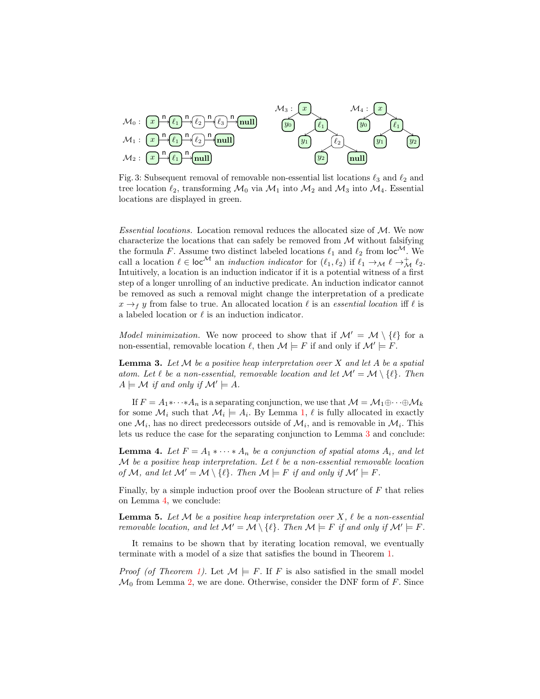<span id="page-7-0"></span>

Fig. 3: Subsequent removal of removable non-essential list locations  $\ell_3$  and  $\ell_2$  and tree location  $\ell_2$ , transforming  $\mathcal{M}_0$  via  $\mathcal{M}_1$  into  $\mathcal{M}_2$  and  $\mathcal{M}_3$  into  $\mathcal{M}_4$ . Essential locations are displayed in green.

Essential locations. Location removal reduces the allocated size of  $M$ . We now characterize the locations that can safely be removed from  $M$  without falsifying the formula F. Assume two distinct labeled locations  $\ell_1$  and  $\ell_2$  from loc<sup>M</sup>. We call a location  $\ell \in \text{loc}^{\mathcal{M}}$  an *induction indicator* for  $(\ell_1, \ell_2)$  if  $\ell_1 \to_M \ell \to_M^{\mathcal{H}} \ell_2$ . Intuitively, a location is an induction indicator if it is a potential witness of a first step of a longer unrolling of an inductive predicate. An induction indicator cannot be removed as such a removal might change the interpretation of a predicate  $x \rightarrow_f y$  from false to true. An allocated location  $\ell$  is an essential location iff  $\ell$  is a labeled location or  $\ell$  is an induction indicator.

*Model minimization.* We now proceed to show that if  $\mathcal{M}' = \mathcal{M} \setminus \{\ell\}$  for a non-essential, removable location  $\ell$ , then  $\mathcal{M} \models F$  if and only if  $\mathcal{M}' \models F$ .

<span id="page-7-1"></span>**Lemma 3.** Let  $\mathcal M$  be a positive heap interpretation over  $X$  and let  $A$  be a spatial atom. Let  $\ell$  be a non-essential, removable location and let  $\mathcal{M}' = \mathcal{M} \setminus \{\ell\}.$  Then  $A \models \mathcal{M}$  if and only if  $\mathcal{M}' \models A$ .

If  $F = A_1 \cdot \cdot \cdot \cdot A_n$  is a separating conjunction, we use that  $\mathcal{M} = \mathcal{M}_1 \oplus \cdot \cdot \cdot \oplus \mathcal{M}_k$ for some  $\mathcal{M}_i$  such that  $\mathcal{M}_i \models A_i$ . By Lemma [1,](#page-6-0)  $\ell$  is fully allocated in exactly one  $\mathcal{M}_i$ , has no direct predecessors outside of  $\mathcal{M}_i$ , and is removable in  $\mathcal{M}_i$ . This lets us reduce the case for the separating conjunction to Lemma [3](#page-7-1) and conclude:

<span id="page-7-2"></span>**Lemma 4.** Let  $F = A_1 \cdot \cdots \cdot A_n$  be a conjunction of spatial atoms  $A_i$ , and let M be a positive heap interpretation. Let  $\ell$  be a non-essential removable location of M, and let  $\mathcal{M}' = \mathcal{M} \setminus \{ \ell \}.$  Then  $\mathcal{M} \models F$  if and only if  $\mathcal{M}' \models F$ .

Finally, by a simple induction proof over the Boolean structure of  $F$  that relies on Lemma [4,](#page-7-2) we conclude:

**Lemma 5.** Let M be a positive heap interpretation over X,  $\ell$  be a non-essential removable location, and let  $\mathcal{M}' = \mathcal{M} \setminus \{ \ell \}.$  Then  $\mathcal{M} \models F$  if and only if  $\mathcal{M}' \models F$ .

It remains to be shown that by iterating location removal, we eventually terminate with a model of a size that satisfies the bound in Theorem [1.](#page-5-2)

*Proof (of Theorem [1\)](#page-5-2).* Let  $\mathcal{M} \models F$ . If F is also satisfied in the small model  $\mathcal{M}_0$  from Lemma [2,](#page-6-1) we are done. Otherwise, consider the DNF form of  $F$ . Since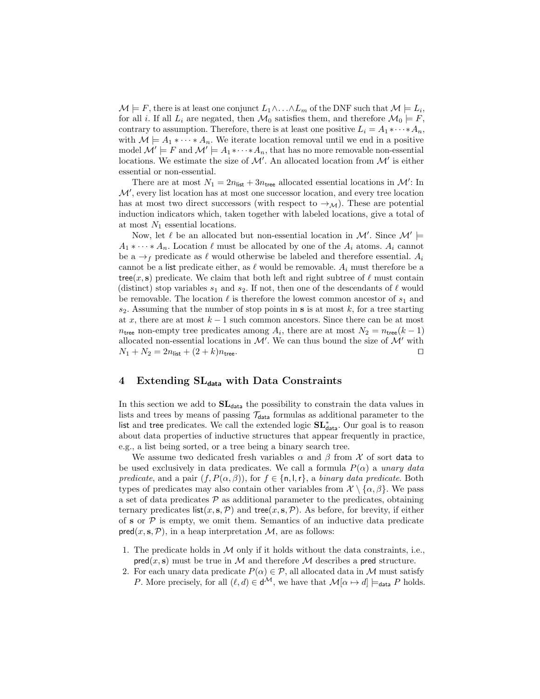$\mathcal{M} \models F,$  there is at least one conjunct  $L_1 \wedge \ldots \wedge L_m$  of the DNF such that  $\mathcal{M} \models L_i,$ for all *i*. If all  $L_i$  are negated, then  $\mathcal{M}_0$  satisfies them, and therefore  $\mathcal{M}_0 \models F$ , contrary to assumption. Therefore, there is at least one positive  $L_i = A_1 * \cdots * A_n$ , with  $\mathcal{M} \models A_1 \cdot \cdots \cdot A_n$ . We iterate location removal until we end in a positive model  $\mathcal{M}' \models F$  and  $\mathcal{M}' \models A_1 \ast \cdots \ast A_n$ , that has no more removable non-essential locations. We estimate the size of  $\mathcal{M}'$ . An allocated location from  $\mathcal{M}'$  is either essential or non-essential.

There are at most  $N_1 = 2n_{\text{list}} + 3n_{\text{tree}}$  allocated essential locations in  $\mathcal{M}'$ : In  $\mathcal{M}'$ , every list location has at most one successor location, and every tree location has at most two direct successors (with respect to  $\rightarrow_{\mathcal{M}}$ ). These are potential induction indicators which, taken together with labeled locations, give a total of at most  $N_1$  essential locations.

Now, let  $\ell$  be an allocated but non-essential location in  $\mathcal{M}'$ . Since  $\mathcal{M}' \models$  $A_1 * \cdots * A_n$ . Location  $\ell$  must be allocated by one of the  $A_i$  atoms.  $A_i$  cannot be a  $\rightarrow_f$  predicate as  $\ell$  would otherwise be labeled and therefore essential.  $A_i$ cannot be a list predicate either, as  $\ell$  would be removable.  $A_i$  must therefore be a tree(x, s) predicate. We claim that both left and right subtree of  $\ell$  must contain (distinct) stop variables  $s_1$  and  $s_2$ . If not, then one of the descendants of  $\ell$  would be removable. The location  $\ell$  is therefore the lowest common ancestor of  $s_1$  and  $s_2$ . Assuming that the number of stop points in s is at most k, for a tree starting at x, there are at most  $k-1$  such common ancestors. Since there can be at most  $n_{\text{tree}}$  non-empty tree predicates among  $A_i$ , there are at most  $N_2 = n_{\text{tree}}(k-1)$ allocated non-essential locations in  $\mathcal{M}'$ . We can thus bound the size of  $\mathcal{M}'$  with  $N_1 + N_2 = 2n_{\text{list}} + (2 + k)n_{\text{tree}}.$ 

#### <span id="page-8-0"></span>4 Extending  $SL<sub>data</sub>$  with Data Constraints

In this section we add to  $SL<sub>data</sub>$  the possibility to constrain the data values in lists and trees by means of passing  $\mathcal{T}_{data}$  formulas as additional parameter to the list and tree predicates. We call the extended logic SL<sup>∗</sup> data. Our goal is to reason about data properties of inductive structures that appear frequently in practice, e.g., a list being sorted, or a tree being a binary search tree.

We assume two dedicated fresh variables  $\alpha$  and  $\beta$  from X of sort data to be used exclusively in data predicates. We call a formula  $P(\alpha)$  a unary data predicate, and a pair  $(f, P(\alpha, \beta))$ , for  $f \in \{\text{n}, \text{l}, \text{r}\}\$ , a binary data predicate. Both types of predicates may also contain other variables from  $\mathcal{X} \setminus \{\alpha, \beta\}$ . We pass a set of data predicates  $P$  as additional parameter to the predicates, obtaining ternary predicates list $(x, s, \mathcal{P})$  and tree $(x, s, \mathcal{P})$ . As before, for brevity, if either of s or  $P$  is empty, we omit them. Semantics of an inductive data predicate  $pred(x, s, P)$ , in a heap interpretation M, are as follows:

- 1. The predicate holds in  $M$  only if it holds without the data constraints, i.e.,  $pred(x, s)$  must be true in M and therefore M describes a pred structure.
- 2. For each unary data predicate  $P(\alpha) \in \mathcal{P}$ , all allocated data in M must satisfy P. More precisely, for all  $(\ell, d) \in d^{\mathcal{M}}$ , we have that  $\mathcal{M}[\alpha \mapsto d] \models_{\text{data}} P$  holds.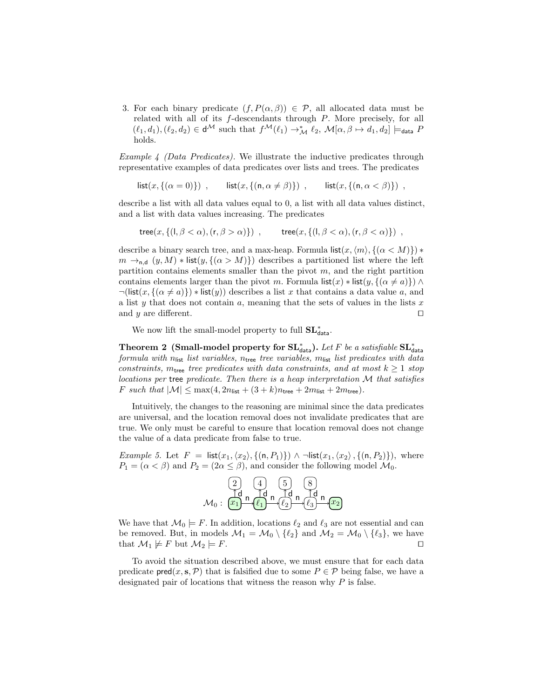3. For each binary predicate  $(f, P(\alpha, \beta)) \in \mathcal{P}$ , all allocated data must be related with all of its f-descendants through P. More precisely, for all  $(\ell_1, d_1),(\ell_2, d_2) \in \mathsf{d}^{\mathcal{M}}$  such that  $f^{\mathcal{M}}(\ell_1) \to_{\mathcal{M}}^* \ell_2$ ,  $\mathcal{M}[\alpha, \beta \mapsto d_1, d_2] \models_{\mathsf{data}} P$ holds.

Example 4 (Data Predicates). We illustrate the inductive predicates through representative examples of data predicates over lists and trees. The predicates

 $list(x, \{(\alpha = 0)\})$ ,  $list(x, \{(\mathsf{n}, \alpha \neq \beta)\})$ ,  $list(x, \{(\mathsf{n}, \alpha < \beta)\})$ ,

describe a list with all data values equal to 0, a list with all data values distinct, and a list with data values increasing. The predicates

$$
\mathsf{tree}(x,\{(\mathsf{l},\beta<\alpha),(\mathsf{r},\beta>\alpha)\})\enspace,\qquad\mathsf{tree}(x,\{(\mathsf{l},\beta<\alpha),(\mathsf{r},\beta<\alpha)\})\enspace,
$$

describe a binary search tree, and a max-heap. Formula  $\textsf{list}(x,\langle m \rangle, \{(\alpha \leq M)\})$ \*  $m \to_{n,d} (y,M) * \text{list}(y, \{(\alpha > M)\})$  describes a partitioned list where the left partition contains elements smaller than the pivot  $m$ , and the right partition contains elements larger than the pivot m. Formula  $\textsf{list}(x) * \textsf{list}(y, \{(\alpha \neq a)\}) \land$  $\neg(\text{list}(x, \{(\alpha \neq a)\}) * \text{list}(y))$  describes a list x that contains a data value a, and a list y that does not contain a, meaning that the sets of values in the lists  $x$ and y are different.  $\Box$ 

We now lift the small-model property to full  $\mathbf{SL}^*_{\text{data}}$ .

<span id="page-9-0"></span>Theorem 2 (Small-model property for  $\mathbf{SL}^*_{\text{data}}$ ). Let F be a satisfiable  $\mathbf{SL}^*_{\text{data}}$ formula with  $n_{\text{list}}$  list variables,  $n_{\text{tree}}$  tree variables,  $m_{\text{list}}$  list predicates with data constraints,  $m_{\text{tree}}$  tree predicates with data constraints, and at most  $k \geq 1$  stop locations per tree predicate. Then there is a heap interpretation M that satisfies  $F \ such \ that \ |\mathcal{M}| \leq \max(4, 2n_{\text{list}} + (3+k)n_{\text{tree}} + 2m_{\text{list}} + 2m_{\text{tree}}).$ 

Intuitively, the changes to the reasoning are minimal since the data predicates are universal, and the location removal does not invalidate predicates that are true. We only must be careful to ensure that location removal does not change the value of a data predicate from false to true.

Example 5. Let  $F = \text{list}(x_1,\langle x_2\rangle, \{(n, P_1)\}) \wedge \neg \text{list}(x_1,\langle x_2\rangle, \{(n, P_2)\})$ , where  $P_1 = (\alpha < \beta)$  and  $P_2 = (2\alpha \le \beta)$ , and consider the following model  $\mathcal{M}_0$ .



We have that  $\mathcal{M}_0 \models F$ . In addition, locations  $\ell_2$  and  $\ell_3$  are not essential and can be removed. But, in models  $\mathcal{M}_1 = \mathcal{M}_0 \setminus \{\ell_2\}$  and  $\mathcal{M}_2 = \mathcal{M}_0 \setminus \{\ell_3\}$ , we have that  $\mathcal{M}_1 \not\models F$  but  $\mathcal{M}_2 \models F$ .

To avoid the situation described above, we must ensure that for each data predicate  $\textsf{pred}(x, \mathbf{s}, \mathcal{P})$  that is falsified due to some  $P \in \mathcal{P}$  being false, we have a designated pair of locations that witness the reason why P is false.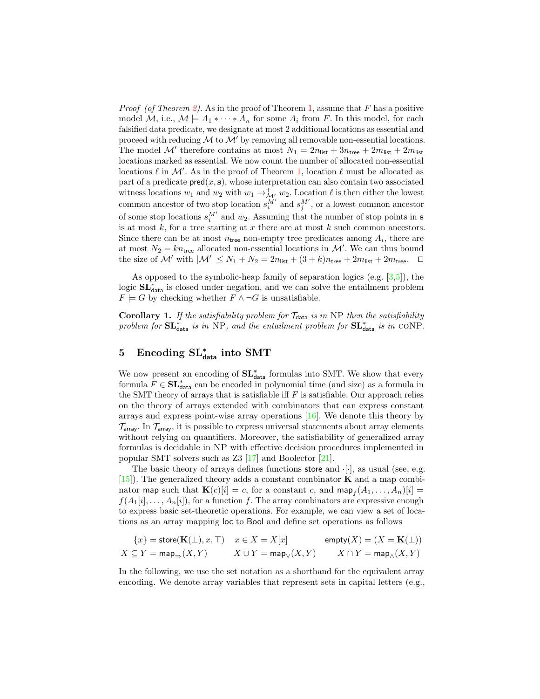*Proof (of Theorem [2\)](#page-9-0).* As in the proof of Theorem [1,](#page-5-2) assume that F has a positive model M, i.e.,  $\mathcal{M} \models A_1 \cdot \cdots \cdot A_n$  for some  $A_i$  from F. In this model, for each falsified data predicate, we designate at most 2 additional locations as essential and proceed with reducing  $\mathcal M$  to  $\mathcal M'$  by removing all removable non-essential locations. The model M' therefore contains at most  $N_1 = 2n_{\text{list}} + 3n_{\text{tree}} + 2m_{\text{list}} + 2m_{\text{list}}$ locations marked as essential. We now count the number of allocated non-essential locations  $\ell$  in M'. As in the proof of Theorem [1,](#page-5-2) location  $\ell$  must be allocated as part of a predicate  $\text{pred}(x, \mathbf{s})$ , whose interpretation can also contain two associated witness locations  $w_1$  and  $w_2$  with  $w_1 \rightarrow^+_{\mathcal{M}'} w_2$ . Location  $\ell$  is then either the lowest common ancestor of two stop location  $s_i^{M'}$  and  $s_j^{M'}$ , or a lowest common ancestor of some stop locations  $s_i^{M'}$  and  $w_2$ . Assuming that the number of stop points in s is at most  $k$ , for a tree starting at  $x$  there are at most  $k$  such common ancestors. Since there can be at most  $n_{\text{tree}}$  non-empty tree predicates among  $A_i$ , there are at most  $N_2 = kn_{\text{tree}}$  allocated non-essential locations in  $\mathcal{M}'$ . We can thus bound the size of M' with  $|M'| \leq N_1 + N_2 = 2n_{\text{list}} + (3 + k)n_{\text{tree}} + 2m_{\text{list}} + 2m_{\text{tree}}.$ 

As opposed to the symbolic-heap family of separation logics (e.g. [\[3,](#page-15-5)[5\]](#page-15-12)), the logic  $\mathbf{SL}^*_{\text{data}}$  is closed under negation, and we can solve the entailment problem  $F \models G$  by checking whether  $F \land \neg G$  is unsatisfiable.

**Corollary 1.** If the satisfiability problem for  $\mathcal{T}_{data}$  is in NP then the satisfiability problem for  $SL^*_{data}$  is in NP, and the entailment problem for  $SL^*_{data}$  is in CONP.

# <span id="page-10-0"></span>5 Encoding  $SL^*_{data}$  into SMT

We now present an encoding of  $\mathbf{SL}^*_{\text{data}}$  formulas into SMT. We show that every formula  $F \in SL_{data}^{*}$  can be encoded in polynomial time (and size) as a formula in the SMT theory of arrays that is satisfiable iff  $F$  is satisfiable. Our approach relies on the theory of arrays extended with combinators that can express constant arrays and express point-wise array operations [\[16\]](#page-15-21). We denote this theory by  $\mathcal{T}_{array}$ . In  $\mathcal{T}_{array}$ , it is possible to express universal statements about array elements without relying on quantifiers. Moreover, the satisfiability of generalized array formulas is decidable in NP with effective decision procedures implemented in popular SMT solvers such as Z3 [\[17\]](#page-15-22) and Boolector [\[21\]](#page-15-23).

The basic theory of arrays defines functions store and  $\cdot[\cdot]$ , as usual (see, e.g.  $[15]$ . The generalized theory adds a constant combinator **K** and a map combinator map such that  $\mathbf{K}(c)[i]=c,$  for a constant  $c,$  and map $_f(A_1,\ldots,A_n)[i]=$  $f(A_1[i], \ldots, A_n[i])$ , for a function f. The array combinators are expressive enough to express basic set-theoretic operations. For example, we can view a set of locations as an array mapping loc to Bool and define set operations as follows

$$
\{x\} = \text{store}(\mathbf{K}(\bot), x, \top) \quad x \in X = X[x] \quad \text{empty}(X) = (X = \mathbf{K}(\bot))
$$
  

$$
X \subseteq Y = \text{map}_{\Rightarrow}(X, Y) \quad X \cup Y = \text{map}_{\vee}(X, Y) \quad X \cap Y = \text{map}_{\wedge}(X, Y)
$$

In the following, we use the set notation as a shorthand for the equivalent array encoding. We denote array variables that represent sets in capital letters (e.g.,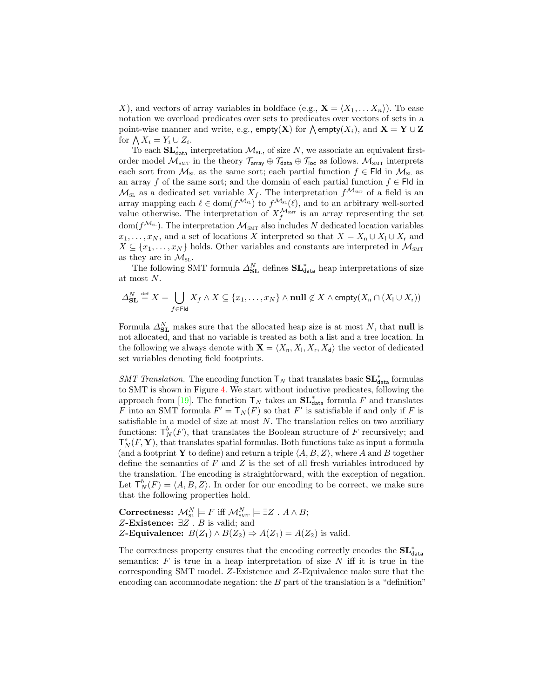X), and vectors of array variables in boldface (e.g.,  $\mathbf{X} = \langle X_1, \ldots, X_n \rangle$ ). To ease notation we overload predicates over sets to predicates over vectors of sets in a point-wise manner and write, e.g.,  $\mathsf{empty}(\mathbf{X})$  for  $\bigwedge \mathsf{empty}(X_i),$  and  $\mathbf{X} = \mathbf{Y} \cup \mathbf{Z}$ for  $\bigwedge X_i = Y_i \cup Z_i$ .

To each  $SL_{data}^*$  interpretation  $\mathcal{M}_{SL}$ , of size N, we associate an equivalent firstorder model  $M_{\text{SMT}}$  in the theory  $\mathcal{T}_{\text{array}} \oplus \mathcal{T}_{\text{data}} \oplus \mathcal{T}_{\text{loc}}$  as follows.  $M_{\text{SMT}}$  interprets each sort from  $\mathcal{M}_{\text{SL}}$  as the same sort; each partial function  $f \in \text{Fld}$  in  $\mathcal{M}_{\text{SL}}$  as an array f of the same sort; and the domain of each partial function  $f \in \mathsf{Fld}$  in  $\mathcal{M}_{\text{SL}}$  as a dedicated set variable  $X_f$ . The interpretation  $f^{\mathcal{M}_{\text{SMT}}}$  of a field is an array mapping each  $\ell \in \text{dom}(f^{\mathcal{M}_{\text{SL}}})$  to  $f^{\mathcal{M}_{\text{SL}}}(\ell)$ , and to an arbitrary well-sorted value otherwise. The interpretation of  $X_f^{\mathcal{M}_{\text{surf}}}$  is an array representing the set  $dom(f^{\mathcal{M}_{\text{SL}}})$ . The interpretation  $\mathcal{M}_{\text{SMT}}$  also includes N dedicated location variables  $x_1, \ldots, x_N$ , and a set of locations X interpreted so that  $X = X_n \cup X_1 \cup X_r$  and  $X \subseteq \{x_1, \ldots, x_N\}$  holds. Other variables and constants are interpreted in  $\mathcal{M}_{\text{SMI}}$ as they are in  $\mathcal{M}_{\text{SL}}$ .

The following SMT formula  $\Delta_{SL}^N$  defines  $SL_{data}^*$  heap interpretations of size at most N.

$$
\varDelta_{\mathrm{SL}}^N \stackrel{\mathrm{def}}{=} X = \bigcup_{f \in \mathsf{Fld}} X_f \land X \subseteq \{x_1, \dots, x_N\} \land \mathbf{null} \not\in X \land \mathsf{empty}(X_\mathsf{n} \cap (X_\mathsf{l} \cup X_\mathsf{r}))
$$

Formula  $\Delta_{\text{SL}}^{N}$  makes sure that the allocated heap size is at most N, that **null** is not allocated, and that no variable is treated as both a list and a tree location. In the following we always denote with  $\mathbf{X} = \langle X_{n}, X_{1}, X_{r}, X_{d} \rangle$  the vector of dedicated set variables denoting field footprints.

SMT Translation. The encoding function  $\mathsf{T}_N$  that translates basic  $\mathbf{SL}^*_{\text{data}}$  formulas to SMT is shown in Figure [4.](#page-12-0) We start without inductive predicates, following the approach from [\[19\]](#page-15-2). The function  $\mathsf{T}_N$  takes an  $\mathbf{SL}^*_{\text{data}}$  formula F and translates F into an SMT formula  $F' = \mathsf{T}_N(F)$  so that F' is satisfiable if and only if F is satisfiable in a model of size at most  $N$ . The translation relies on two auxiliary functions:  $\mathsf{T}_{N}^{b}(F)$ , that translates the Boolean structure of F recursively; and  $\mathsf{T}^s_N(F,\mathbf Y),$  that translates spatial formulas. Both functions take as input a formula (and a footprint Y to define) and return a triple  $\langle A, B, Z \rangle$ , where A and B together define the semantics of  $F$  and  $Z$  is the set of all fresh variables introduced by the translation. The encoding is straightforward, with the exception of negation. Let  $\mathsf{T}_{N}^{b}(F) = \langle A, B, Z \rangle$ . In order for our encoding to be correct, we make sure that the following properties hold.

Correctness:  $\mathcal{M}_{\text{SL}}^N \models F$  iff  $\mathcal{M}_{\text{SMT}}^N \models \exists Z \ . \ A \land B;$ Z-Existence:  $\exists Z \cdot B$  is valid; and Z-Equivalence:  $B(Z_1) \wedge B(Z_2) \Rightarrow A(Z_1) = A(Z_2)$  is valid.

The correctness property ensures that the encoding correctly encodes the  $\mathbf{SL}^*_{\textsf{data}}$ semantics:  $F$  is true in a heap interpretation of size  $N$  iff it is true in the corresponding SMT model. Z-Existence and Z-Equivalence make sure that the encoding can accommodate negation: the  $B$  part of the translation is a "definition"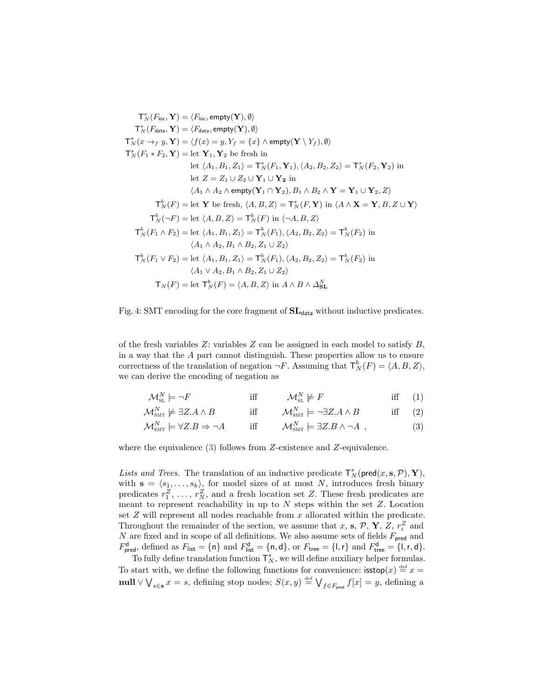<span id="page-12-0"></span> $\mathsf{T}^s_N(F_{\mathsf{loc}}, \mathbf{Y}) = \langle F_{\mathsf{loc}}, \mathsf{empty}(\mathbf{Y}), \emptyset \rangle$  $\mathsf{T}_{N}^{s}(F_{\mathsf{data}}, \mathbf{Y}) = \langle F_{\mathsf{data}}, \mathsf{empty}(\mathbf{Y}), \emptyset \rangle$  $\mathsf{T}^s_N(x \to_f y, \mathbf{Y}) = \langle f(x) = y, Y_f = \{x\} \land \mathsf{empty}(\mathbf{Y} \setminus Y_f), \emptyset \rangle$  $\mathsf{T}_{N}^{s}(F_{1}*F_{2}, \mathbf{Y}) = \mathrm{let} \mathbf{Y}_{1}, \mathbf{Y}_{2} \mathrm{ be fresh}$  in let  $\langle A_1, B_1, Z_1 \rangle = \mathsf{T}_N^s(F_1, \mathbf{Y}_1), \langle A_2, B_2, Z_2 \rangle = \mathsf{T}_N^s(F_2, \mathbf{Y}_2)$  in let  $Z = Z_1 \cup Z_2 \cup Y_1 \cup Y_2$  in  $\langle A_1 \wedge A_2 \wedge \text{empty}(\mathbf{Y}_1 \cap \mathbf{Y}_2), B_1 \wedge B_2 \wedge \mathbf{Y} = \mathbf{Y}_1 \cup \mathbf{Y}_2, Z \rangle$  $\mathsf{T}^b_N(F) = \mathrm{let }\; \mathbf{Y} \; \mathrm{be \; fresh}, \, \langle A, B, Z \rangle = \mathsf{T}^s_N(F, \mathbf{Y}) \; \mathrm{in} \; \langle A \wedge \mathbf{X} = \mathbf{Y}, B, Z \cup \mathbf{Y} \rangle$  $\mathsf{T}_{N}^{b}(\neg F) = \mathrm{let} \ \langle A, B, Z \rangle = \mathsf{T}_{N}^{b}(F) \text{ in } \langle \neg A, B, Z \rangle$  $\mathsf{T}_{N}^{b}(F_{1}\wedge F_{2}) = \mathrm{let} \ \langle A_{1}, B_{1}, Z_{1}\rangle = \mathsf{T}_{N}^{b}(F_{1}), \langle A_{2}, B_{2}, Z_{2}\rangle = \mathsf{T}_{N}^{b}(F_{2}) \ \mathrm{in}$  $\langle A_1 \wedge A_2, B_1 \wedge B_2, Z_1 \cup Z_2 \rangle$  $\mathsf{T}_{N}^{b}(F_{1}\vee F_{2}) = \mathrm{let} \ \langle A_{1}, B_{1}, Z_{1}\rangle = \mathsf{T}_{N}^{b}(F_{1}), \langle A_{2}, B_{2}, Z_{2}\rangle = \mathsf{T}_{N}^{b}(F_{2}) \ \mathrm{in}$  $\langle A_1 \vee A_2, B_1 \wedge B_2, Z_1 \cup Z_2 \rangle$  $\mathsf{T}_N(F) = \mathrm{let} \ \mathsf{T}_N^b(F) = \langle A, B, Z \rangle \text{ in } A \wedge B \wedge \Delta_{\mathrm{SL}}^N$ 

Fig. 4: SMT encoding for the core fragment of  $SL<sub>data</sub>$  without inductive predicates.

of the fresh variables  $Z$ : variables  $Z$  can be assigned in each model to satisfy  $B$ , in a way that the A part cannot distinguish. These properties allow us to ensure correctness of the translation of negation  $\neg F$ . Assuming that  $\mathsf{T}^b_N(F) = \langle A, B, Z \rangle$ , we can derive the encoding of negation as

<span id="page-12-1"></span>
$$
\mathcal{M}_{\text{SL}}^N \models \neg F \qquad \qquad \text{iff} \qquad \mathcal{M}_{\text{SL}}^N \not\models F \qquad \qquad \text{iff} \qquad (1)
$$

$$
\mathcal{M}_{\text{SMT}}^N \not\models \exists Z.A \land B \qquad \text{iff} \qquad \mathcal{M}_{\text{SMT}}^N \models \neg \exists Z.A \land B \qquad \text{iff} \qquad (2)
$$

$$
\mathcal{M}_{\text{SMT}}^N \models \forall Z.B \Rightarrow \neg A \qquad \text{iff} \qquad \mathcal{M}_{\text{SMT}}^N \models \exists Z.B \land \neg A \tag{3}
$$

where the equivalence  $(3)$  follows from Z-existence and Z-equivalence.

Lists and Trees. The translation of an inductive predicate  $\mathsf{T}_{N}^{s}(\mathsf{pred}(x, \mathbf{s}, \mathcal{P}), \mathbf{Y}),$ with  $\mathbf{s} = \langle s_1, \ldots, s_k \rangle$ , for model sizes of at most N, introduces fresh binary predicates  $r_1^Z, \ldots, r_N^Z$ , and a fresh location set Z. These fresh predicates are meant to represent reachability in up to  $N$  steps within the set  $Z$ . Location set  $Z$  will represent all nodes reachable from  $x$  allocated within the predicate. Throughout the remainder of the section, we assume that x, s,  $\mathcal{P}, \mathbf{Y}, Z, r_i^Z$  and N are fixed and in scope of all definitions. We also assume sets of fields  $F_{\text{pred}}$  and  $F_{\text{pred}}^d$ , defined as  $F_{\text{list}} = \{\mathsf{n}\}\$  and  $F_{\text{list}}^d = \{\mathsf{n},\mathsf{d}\}\$ , or  $F_{\text{tree}} = \{\mathsf{l},\mathsf{r}\}\$  and  $F_{\text{tree}}^d = \{\mathsf{l},\mathsf{r},\mathsf{d}\}\$ .

To fully define translation function  $\mathsf{T}^s_N$ , we will define auxiliary helper formulas. To start with, we define the following functions for convenience:  $\mathsf{isstop}(x) \stackrel{\text{def}}{=} x =$ null  $\vee \bigvee_{s \in \mathbf{s}} x = s$ , defining stop nodes;  $S(x, y) \stackrel{\text{def}}{=} \bigvee_{f \in F_{\text{pred}}} f[x] = y$ , defining a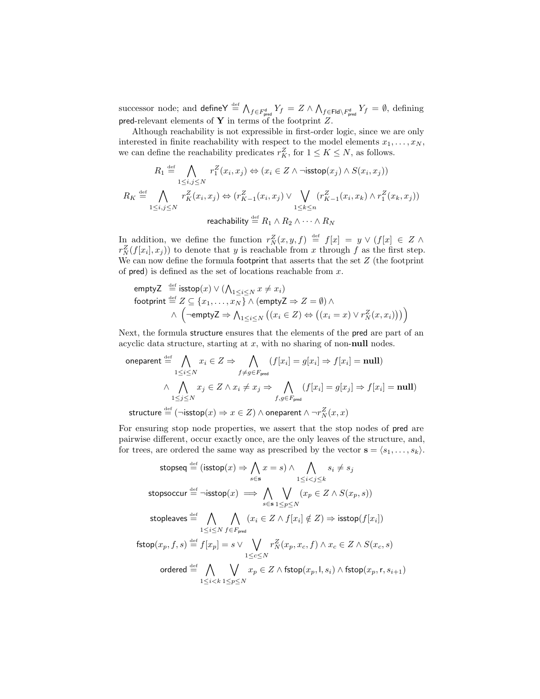successor node; and define $Y\stackrel{\textrm{\tiny{def}}}{=} \bigwedge_{f\in F^\mathsf{d}_\mathsf{pred}} Y_f = Z\wedge \bigwedge_{f\in \mathsf{Fld}\setminus F^\mathsf{d}_\mathsf{pred}} Y_f = \emptyset,$  defining pred-relevant elements of  $Y$  in terms of the footprint  $Z$ .

Although reachability is not expressible in first-order logic, since we are only interested in finite reachability with respect to the model elements  $x_1, \ldots, x_N$ , we can define the reachability predicates  $r_K^Z$ , for  $1 \leq K \leq N$ , as follows.

$$
R_1 \stackrel{\text{def}}{=} \bigwedge_{1 \le i,j \le N} r_1^Z(x_i, x_j) \Leftrightarrow (x_i \in Z \land \neg \text{isstop}(x_j) \land S(x_i, x_j))
$$

$$
R_K \stackrel{\text{def}}{=} \bigwedge_{1 \le i,j \le N} r_K^Z(x_i, x_j) \Leftrightarrow (r_{K-1}^Z(x_i, x_j) \lor \bigvee_{1 \le k \le n} (r_{K-1}^Z(x_i, x_k) \land r_1^Z(x_k, x_j))
$$

$$
\text{reachability} \stackrel{\text{def}}{=} R_1 \land R_2 \land \dots \land R_N
$$

In addition, we define the function  $r_N^Z(x, y, f) \stackrel{\text{def}}{=} f[x] = y \vee (f[x] \in Z \wedge$  $r_N^Z(f[x_i], x_j)$  to denote that y is reachable from x through f as the first step. We can now define the formula footprint that asserts that the set  $Z$  (the footprint of  $pred$ ) is defined as the set of locations reachable from  $x$ .

$$
\begin{array}{ll}\n\text{emptyZ} & \stackrel{\text{def}}{=} \text{isstop}(x) \vee (\bigwedge_{1 \leq i \leq N} x \neq x_i) \\
\text{footprint} & \stackrel{\text{def}}{=} Z \subseteq \{x_1, \dots, x_N\} \wedge (\text{emptyZ} \Rightarrow Z = \emptyset) \wedge \\
&\qquad \wedge \left(\neg \text{emptyZ} \Rightarrow \bigwedge_{1 \leq i \leq N} \left( (x_i \in Z) \Leftrightarrow \left( (x_i = x) \vee r_N^Z(x, x_i) \right) \right) \right)\n\end{array}
$$

Next, the formula structure ensures that the elements of the pred are part of an acyclic data structure, starting at  $x$ , with no sharing of non-null nodes.

oneparent 
$$
\stackrel{\text{def}}{=} \bigwedge_{1 \leq i \leq N} x_i \in Z \Rightarrow \bigwedge_{f \neq g \in F_{\text{pred}}} (f[x_i] = g[x_i] \Rightarrow f[x_i] = \text{null})
$$

\n $\wedge \bigwedge_{1 \leq j \leq N} x_j \in Z \wedge x_i \neq x_j \Rightarrow \bigwedge_{f,g \in F_{\text{pred}}} (f[x_i] = g[x_j] \Rightarrow f[x_i] = \text{null})$ 

\nstructure  $\stackrel{\text{def}}{=} (\neg \text{isstop}(x) \Rightarrow x \in Z) \wedge \text{oneparent} \wedge \neg r_N^Z(x, x)$ 

For ensuring stop node properties, we assert that the stop nodes of pred are pairwise different, occur exactly once, are the only leaves of the structure, and, for trees, are ordered the same way as prescribed by the vector  $\mathbf{s} = \langle s_1, \ldots, s_k \rangle$ .

$$
\begin{aligned} \text{stopseq} & \stackrel{\text{def}}{=} (\text{isstop}(x) \Rightarrow \bigwedge_{s \in \mathbf{s}} x = s) \land \bigwedge_{1 \leq i < j \leq k} s_i \neq s_j \\ \text{stopscoreur} & \stackrel{\text{def}}{=} \neg \text{isstop}(x) \implies \bigwedge_{s \in \mathbf{s}} \bigvee_{1 \leq i < j \leq k} (x_p \in Z \land S(x_p, s)) \\ \text{stopleaves} & \stackrel{\text{def}}{=} \bigwedge_{1 \leq i \leq N} \bigwedge_{f \in F_{\text{pred}}} (x_i \in Z \land f[x_i] \notin Z) \Rightarrow \text{isstop}(f[x_i]) \\ \text{fstop}(x_p, f, s) & \stackrel{\text{def}}{=} f[x_p] = s \lor \bigvee_{1 \leq c \leq N} r_N^Z(x_p, x_c, f) \land x_c \in Z \land S(x_c, s) \\ & \stackrel{1 \leq c \leq N}{=} \bigwedge_{1 \leq i < k} \bigvee_{1 \leq p \leq N} x_p \in Z \land \text{fstop}(x_p, \text{l}, s_i) \land \text{fstop}(x_p, \text{r}, s_{i+1}) \bigwedge \text{fstop}(x_p, \text{r}, s_{i+1}) \bigwedge \text{fstop}(x_p, \text{r}, s_{i+1}) \bigwedge \text{fstop}(x_p, \text{r}, s_{i+1}) \bigwedge \text{fstop}(x_p, \text{r}, s_{i+1}) \bigwedge \text{fstop}(x_p, \text{r}, s_{i+1}) \bigwedge \text{fstop}(x_p, \text{r}, s_{i+1}) \bigwedge \text{fstop}(x_p, \text{r}, s_{i+1}) \bigwedge \text{fstop}(x_p, \text{r}, s_{i+1}) \bigwedge \text{fstop}(x_p, \text{r}, s_{i+1}) \bigwedge \text{fstop}(x_p, \text{r}, s_{i+1}) \bigwedge \text{fstop}(x_p, \text{r}, s_{i+1}) \bigwedge \text{fstop}(x_p, \text{r}, s_{i+1}) \bigwedge \text{fstop}(x_p, \text{r}, s_{i+1}) \bigwedge \text{fstop}(x_p, \text{r}, s_{i+1}) \bigwedge \text{fstop}(x_p, \text{r}, s_{i+1}) \
$$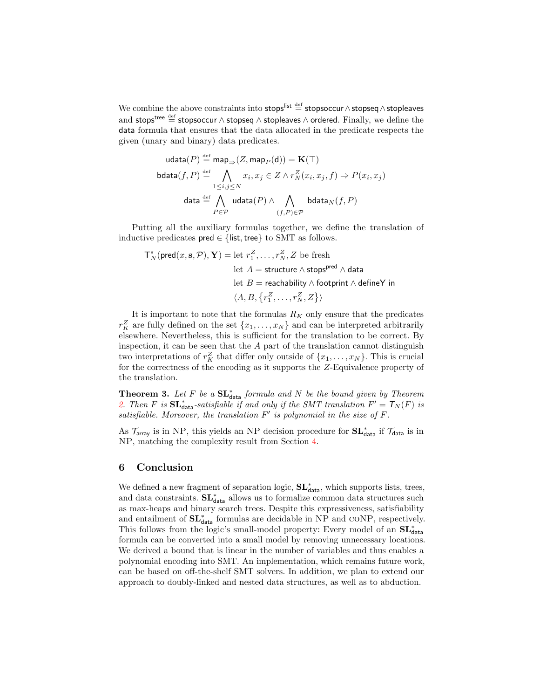We combine the above constraints into stops<sup>list  $\stackrel{\text{def}}{=}$  stopsoccur∧stopseq∧stopleaves</sup> and stops<sup>tree</sup>  $\stackrel{\text{def}}{=}$  stopsoccur  $\wedge$  stopseq  $\wedge$  stopleaves  $\wedge$  ordered. Finally, we define the data formula that ensures that the data allocated in the predicate respects the given (unary and binary) data predicates.

$$
\begin{aligned}\n\text{udata}(P) & \stackrel{\text{def}}{=} \text{map}_{\Rightarrow}(Z, \text{map}_P(\mathsf{d})) = \mathbf{K}(\top) \\
\text{bdata}(f, P) & \stackrel{\text{def}}{=} \bigwedge_{1 \leq i, j \leq N} x_i, x_j \in Z \land r_N^Z(x_i, x_j, f) \Rightarrow P(x_i, x_j) \\
\text{data} & \stackrel{\text{def}}{=} \bigwedge_{1 \leq i, j \leq N} \text{udata}(P) \land \bigwedge_{(f, P) \in \mathcal{P}} \text{bdata}_N(f, P)\n\end{aligned}
$$

Putting all the auxiliary formulas together, we define the translation of inductive predicates  $pred \in \{list, tree\}$  to SMT as follows.

$$
T_N^s(\text{pred}(x, \mathbf{s}, \mathcal{P}), \mathbf{Y}) = \text{let } r_1^Z, \dots, r_N^Z, Z \text{ be fresh}
$$
  
let  $A = \text{structure } \wedge \text{ stops}^{\text{pred}} \wedge \text{data}$   
let  $B = \text{reachability } \wedge \text{footprint } \wedge \text{define} \vee \text{ in}$   
 $\langle A, B, \{r_1^Z, \dots, r_N^Z, Z\} \rangle$ 

It is important to note that the formulas  $R_K$  only ensure that the predicates  $r_K^Z$  are fully defined on the set  $\{x_1, \ldots, x_N\}$  and can be interpreted arbitrarily elsewhere. Nevertheless, this is sufficient for the translation to be correct. By inspection, it can be seen that the  $A$  part of the translation cannot distinguish two interpretations of  $r_K^Z$  that differ only outside of  $\{x_1, \ldots, x_N\}$ . This is crucial for the correctness of the encoding as it supports the Z-Equivalence property of the translation.

**Theorem 3.** Let F be a  $SL^*_{data}$  formula and N be the bound given by Theorem [2.](#page-9-0) Then F is  $SL_{data}^*$ -satisfiable if and only if the SMT translation  $F' = T_N(F)$  is satisfiable. Moreover, the translation  $F'$  is polynomial in the size of  $F$ .

As  $\mathcal{T}_{\text{array}}$  is in NP, this yields an NP decision procedure for  $SL_{\text{data}}^*$  if  $\mathcal{T}_{\text{data}}$  is in NP, matching the complexity result from Section [4.](#page-8-0)

#### <span id="page-14-0"></span>6 Conclusion

We defined a new fragment of separation logic,  $SL^*_{data}$ , which supports lists, trees, and data constraints.  $SL_{data}^{*}$  allows us to formalize common data structures such as max-heaps and binary search trees. Despite this expressiveness, satisfiability and entailment of  $SL^*_{data}$  formulas are decidable in NP and CONP, respectively. This follows from the logic's small-model property: Every model of an  $SL_{data}^*$ formula can be converted into a small model by removing unnecessary locations. We derived a bound that is linear in the number of variables and thus enables a polynomial encoding into SMT. An implementation, which remains future work, can be based on off-the-shelf SMT solvers. In addition, we plan to extend our approach to doubly-linked and nested data structures, as well as to abduction.